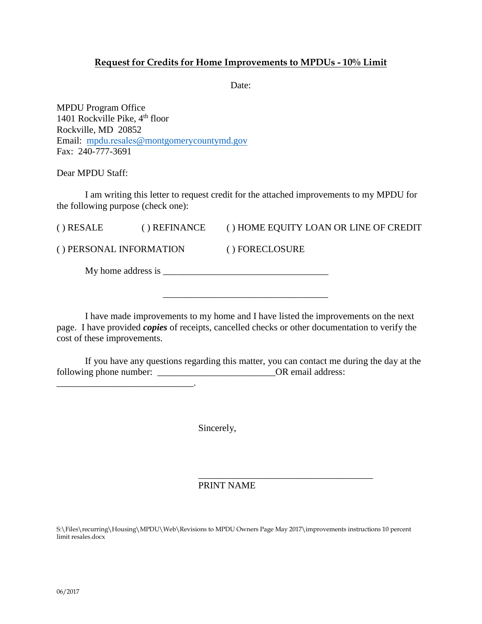# **Request for Credits for Home Improvements to MPDUs - 10% Limit**

Date:

MPDU Program Office 1401 Rockville Pike, 4<sup>th</sup> floor Rockville, MD 20852 Email: mpdu.resales[@montgomerycountymd.gov](mailto:mpdu.intake@montgomerycountymd.gov) Fax: 240-777-3691

\_\_\_\_\_\_\_\_\_\_\_\_\_\_\_\_\_\_\_\_\_\_\_\_\_\_\_\_\_.

Dear MPDU Staff:

I am writing this letter to request credit for the attached improvements to my MPDU for the following purpose (check one):

| $()$ RESALE                 | () REFINANCE | () HOME EQUITY LOAN OR LINE OF CREDIT |
|-----------------------------|--------------|---------------------------------------|
| () PERSONAL INFORMATION     |              | () FORECLOSURE                        |
| My home address is $\equiv$ |              |                                       |

\_\_\_\_\_\_\_\_\_\_\_\_\_\_\_\_\_\_\_\_\_\_\_\_\_\_\_\_\_\_\_\_\_\_\_

I have made improvements to my home and I have listed the improvements on the next page. I have provided *copies* of receipts, cancelled checks or other documentation to verify the cost of these improvements.

If you have any questions regarding this matter, you can contact me during the day at the following phone number: \_\_\_\_\_\_\_\_\_\_\_\_\_\_\_\_\_\_\_\_\_\_\_\_\_OR email address:

Sincerely,

## PRINT NAME

\_\_\_\_\_\_\_\_\_\_\_\_\_\_\_\_\_\_\_\_\_\_\_\_\_\_\_\_\_\_\_\_\_\_\_\_\_

S:\Files\recurring\Housing\MPDU\Web\Revisions to MPDU Owners Page May 2017\improvements instructions 10 percent limit resales.docx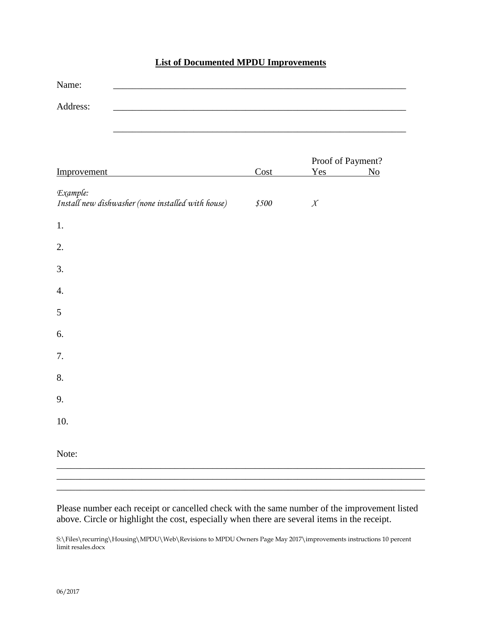# **List of Documented MPDU Improvements**

| Name:                                                          |       |                                            |
|----------------------------------------------------------------|-------|--------------------------------------------|
| Address:                                                       |       |                                            |
|                                                                |       |                                            |
| Improvement                                                    | Cost  | Proof of Payment?<br>Yes<br>N <sub>0</sub> |
| Example:<br>Install new dishwasher (none installed with house) | \$500 | $\boldsymbol{X}$                           |
| 1.                                                             |       |                                            |
| 2.                                                             |       |                                            |
| 3.                                                             |       |                                            |
| $\boldsymbol{4}$ .                                             |       |                                            |
| 5                                                              |       |                                            |
| 6.                                                             |       |                                            |
| 7.                                                             |       |                                            |
| 8.                                                             |       |                                            |
| 9.                                                             |       |                                            |
| 10.                                                            |       |                                            |
| Note:                                                          |       |                                            |
|                                                                |       |                                            |

Please number each receipt or cancelled check with the same number of the improvement listed above. Circle or highlight the cost, especially when there are several items in the receipt.

\_\_\_\_\_\_\_\_\_\_\_\_\_\_\_\_\_\_\_\_\_\_\_\_\_\_\_\_\_\_\_\_\_\_\_\_\_\_\_\_\_\_\_\_\_\_\_\_\_\_\_\_\_\_\_\_\_\_\_\_\_\_\_\_\_\_\_\_\_\_\_\_\_\_\_\_\_\_

S:\Files\recurring\Housing\MPDU\Web\Revisions to MPDU Owners Page May 2017\improvements instructions 10 percent limit resales.docx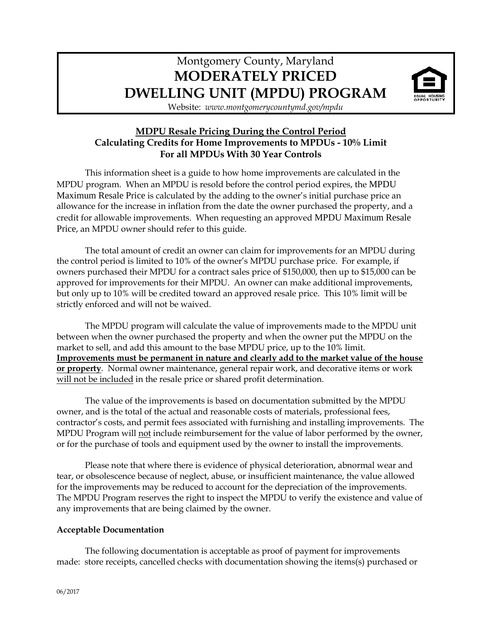# Montgomery County, Maryland **MODERATELY PRICED DWELLING UNIT (MPDU) PROGRAM**



Website: *www.montgomerycountymd.gov/mpdu*

# **MDPU Resale Pricing During the Control Period Calculating Credits for Home Improvements to MPDUs - 10% Limit For all MPDUs With 30 Year Controls**

This information sheet is a guide to how home improvements are calculated in the MPDU program. When an MPDU is resold before the control period expires, the MPDU Maximum Resale Price is calculated by the adding to the owner's initial purchase price an allowance for the increase in inflation from the date the owner purchased the property, and a credit for allowable improvements. When requesting an approved MPDU Maximum Resale Price, an MPDU owner should refer to this guide.

The total amount of credit an owner can claim for improvements for an MPDU during the control period is limited to 10% of the owner's MPDU purchase price. For example, if owners purchased their MPDU for a contract sales price of \$150,000, then up to \$15,000 can be approved for improvements for their MPDU. An owner can make additional improvements, but only up to 10% will be credited toward an approved resale price. This 10% limit will be strictly enforced and will not be waived.

The MPDU program will calculate the value of improvements made to the MPDU unit between when the owner purchased the property and when the owner put the MPDU on the market to sell, and add this amount to the base MPDU price, up to the 10% limit. **Improvements must be permanent in nature and clearly add to the market value of the house or property**. Normal owner maintenance, general repair work, and decorative items or work will not be included in the resale price or shared profit determination.

The value of the improvements is based on documentation submitted by the MPDU owner, and is the total of the actual and reasonable costs of materials, professional fees, contractor's costs, and permit fees associated with furnishing and installing improvements. The MPDU Program will not include reimbursement for the value of labor performed by the owner, or for the purchase of tools and equipment used by the owner to install the improvements.

Please note that where there is evidence of physical deterioration, abnormal wear and tear, or obsolescence because of neglect, abuse, or insufficient maintenance, the value allowed for the improvements may be reduced to account for the depreciation of the improvements. The MPDU Program reserves the right to inspect the MPDU to verify the existence and value of any improvements that are being claimed by the owner.

# **Acceptable Documentation**

The following documentation is acceptable as proof of payment for improvements made: store receipts, cancelled checks with documentation showing the items(s) purchased or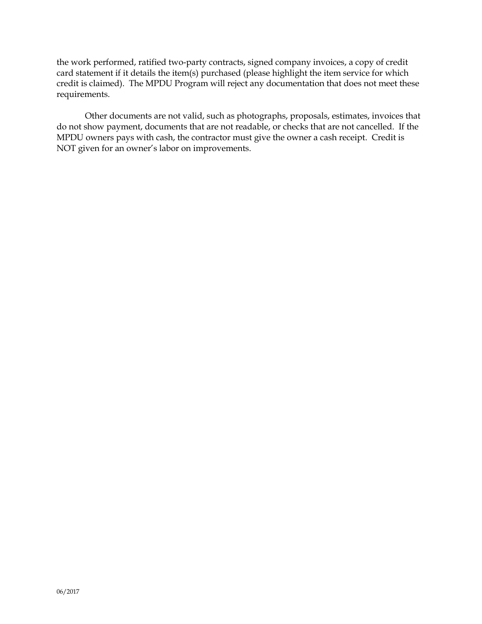the work performed, ratified two-party contracts, signed company invoices, a copy of credit card statement if it details the item(s) purchased (please highlight the item service for which credit is claimed). The MPDU Program will reject any documentation that does not meet these requirements.

Other documents are not valid, such as photographs, proposals, estimates, invoices that do not show payment, documents that are not readable, or checks that are not cancelled. If the MPDU owners pays with cash, the contractor must give the owner a cash receipt. Credit is NOT given for an owner's labor on improvements.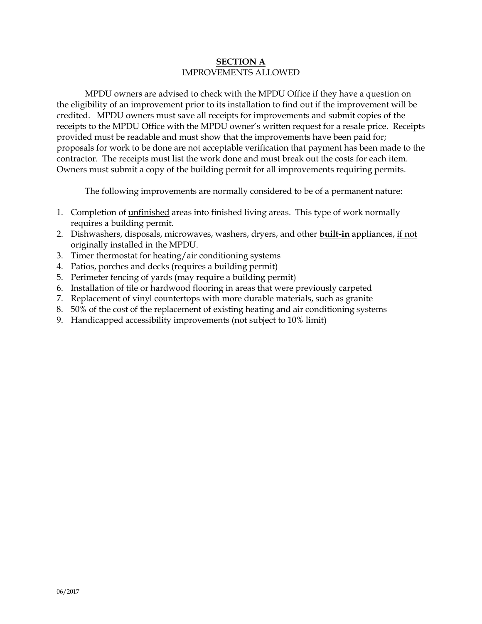## **SECTION A** IMPROVEMENTS ALLOWED

MPDU owners are advised to check with the MPDU Office if they have a question on the eligibility of an improvement prior to its installation to find out if the improvement will be credited. MPDU owners must save all receipts for improvements and submit copies of the receipts to the MPDU Office with the MPDU owner's written request for a resale price. Receipts provided must be readable and must show that the improvements have been paid for; proposals for work to be done are not acceptable verification that payment has been made to the contractor. The receipts must list the work done and must break out the costs for each item. Owners must submit a copy of the building permit for all improvements requiring permits.

The following improvements are normally considered to be of a permanent nature:

- 1. Completion of unfinished areas into finished living areas. This type of work normally requires a building permit.
- 2. Dishwashers, disposals, microwaves, washers, dryers, and other **built-in** appliances, if not originally installed in the MPDU.
- 3. Timer thermostat for heating/air conditioning systems
- 4. Patios, porches and decks (requires a building permit)
- 5. Perimeter fencing of yards (may require a building permit)
- 6. Installation of tile or hardwood flooring in areas that were previously carpeted
- 7. Replacement of vinyl countertops with more durable materials, such as granite
- 8. 50% of the cost of the replacement of existing heating and air conditioning systems
- 9. Handicapped accessibility improvements (not subject to 10% limit)